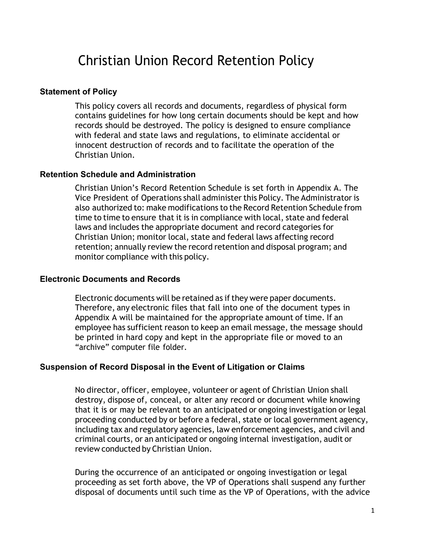# Christian Union Record Retention Policy

#### **Statement of Policy**

This policy covers all records and documents, regardless of physical form contains guidelines for how long certain documents should be kept and how records should be destroyed. The policy is designed to ensure compliance with federal and state laws and regulations, to eliminate accidental or innocent destruction of records and to facilitate the operation of the Christian Union.

#### **Retention Schedule and Administration**

Christian Union's Record Retention Schedule is set forth in Appendix A. The Vice President of Operations shall administerthis Policy. The Administratoris also authorized to: make modifications to the Record Retention Schedule from time to time to ensure that it is in compliance with local, state and federal laws and includes the appropriate document and record categories for Christian Union; monitor local, state and federal laws affecting record retention; annually review the record retention and disposal program; and monitor compliance with this policy.

#### **Electronic Documents and Records**

Electronic documents will be retained as ifthey were paper documents. Therefore, any electronic files that fall into one of the document types in Appendix A will be maintained for the appropriate amount of time. If an employee has sufficient reason to keep an email message, the message should be printed in hard copy and kept in the appropriate file or moved to an "archive" computer file folder.

#### **Suspension of Record Disposal in the Event of Litigation or Claims**

No director, officer, employee, volunteer or agent of Christian Union shall destroy, dispose of, conceal, or alter any record or document while knowing that it is or may be relevant to an anticipated or ongoing investigation or legal proceeding conducted by or before a federal, state or local government agency, including tax and regulatory agencies, law enforcement agencies, and civil and criminal courts, or an anticipated or ongoing internal investigation, audit or review conducted by Christian Union.

During the occurrence of an anticipated or ongoing investigation or legal proceeding as set forth above, the VP of Operations shall suspend any further disposal of documents until such time as the VP of Operations, with the advice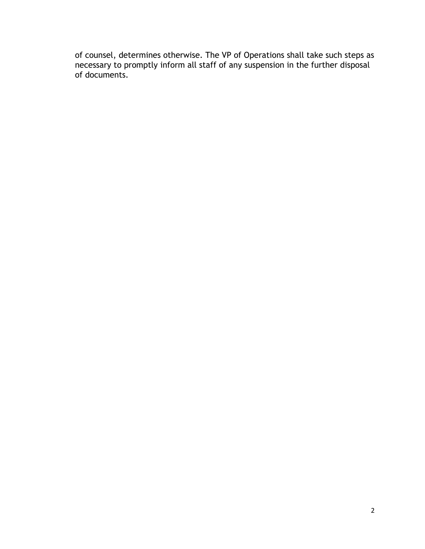of counsel, determines otherwise. The VP of Operations shall take such steps as necessary to promptly inform all staff of any suspension in the further disposal of documents.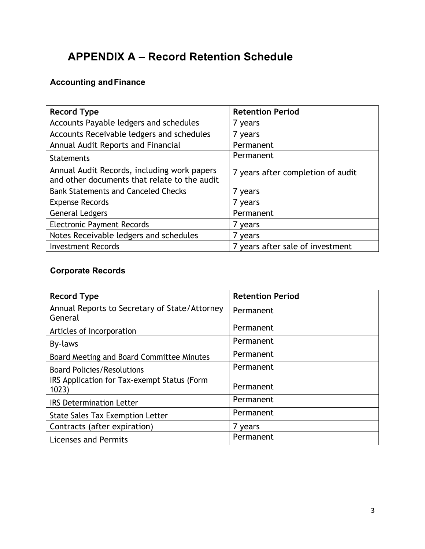# **APPENDIX A – Record Retention Schedule**

# **Accounting andFinance**

| <b>Record Type</b>                                                                          | <b>Retention Period</b>           |
|---------------------------------------------------------------------------------------------|-----------------------------------|
| Accounts Payable ledgers and schedules                                                      | 7 years                           |
| Accounts Receivable ledgers and schedules                                                   | 7 years                           |
| Annual Audit Reports and Financial                                                          | Permanent                         |
| <b>Statements</b>                                                                           | Permanent                         |
| Annual Audit Records, including work papers<br>and other documents that relate to the audit | 7 years after completion of audit |
| <b>Bank Statements and Canceled Checks</b>                                                  | 7 years                           |
| <b>Expense Records</b>                                                                      | 7 years                           |
| <b>General Ledgers</b>                                                                      | Permanent                         |
| <b>Electronic Payment Records</b>                                                           | 7 years                           |
| Notes Receivable ledgers and schedules                                                      | 7 years                           |
| <b>Investment Records</b>                                                                   | 7 years after sale of investment  |

## **Corporate Records**

| <b>Record Type</b>                                       | <b>Retention Period</b> |
|----------------------------------------------------------|-------------------------|
| Annual Reports to Secretary of State/Attorney<br>General | Permanent               |
| Articles of Incorporation                                | Permanent               |
| By-laws                                                  | Permanent               |
| Board Meeting and Board Committee Minutes                | Permanent               |
| <b>Board Policies/Resolutions</b>                        | Permanent               |
| IRS Application for Tax-exempt Status (Form<br>1023)     | Permanent               |
| <b>IRS Determination Letter</b>                          | Permanent               |
| <b>State Sales Tax Exemption Letter</b>                  | Permanent               |
| Contracts (after expiration)                             | 7 years                 |
| Licenses and Permits                                     | Permanent               |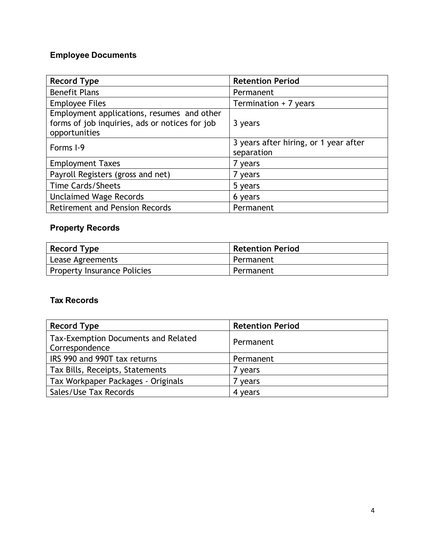# **Employee Documents**

| <b>Record Type</b>                                                                                            | <b>Retention Period</b>                             |
|---------------------------------------------------------------------------------------------------------------|-----------------------------------------------------|
| <b>Benefit Plans</b>                                                                                          | Permanent                                           |
| <b>Employee Files</b>                                                                                         | Termination + 7 years                               |
| Employment applications, resumes and other<br>forms of job inquiries, ads or notices for job<br>opportunities | 3 years                                             |
| Forms I-9                                                                                                     | 3 years after hiring, or 1 year after<br>separation |
| <b>Employment Taxes</b>                                                                                       | 7 years                                             |
| Payroll Registers (gross and net)                                                                             | 7 years                                             |
| <b>Time Cards/Sheets</b>                                                                                      | 5 years                                             |
| <b>Unclaimed Wage Records</b>                                                                                 | 6 years                                             |
| <b>Retirement and Pension Records</b>                                                                         | Permanent                                           |

# **Property Records**

| Record Type                        | <b>Retention Period</b> |
|------------------------------------|-------------------------|
| Lease Agreements                   | Permanent               |
| <b>Property Insurance Policies</b> | Permanent               |

## **Tax Records**

| <b>Record Type</b>                                    | <b>Retention Period</b> |
|-------------------------------------------------------|-------------------------|
| Tax-Exemption Documents and Related<br>Correspondence | Permanent               |
| IRS 990 and 990T tax returns                          | Permanent               |
| Tax Bills, Receipts, Statements                       | 7 years                 |
| Tax Workpaper Packages - Originals                    | ' years                 |
| Sales/Use Tax Records                                 | 4 years                 |